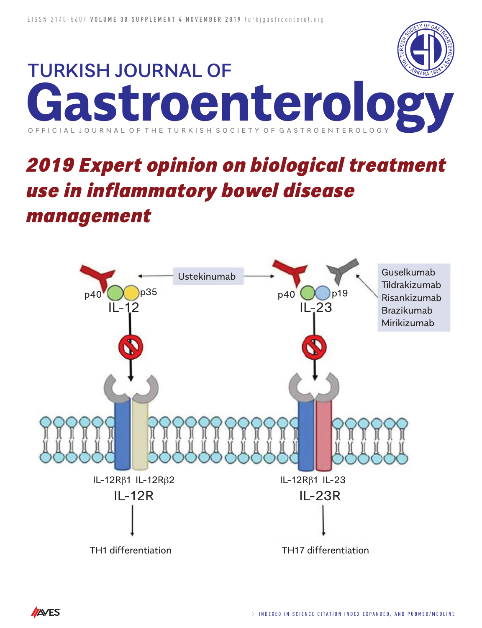

# *2019 Expert opinion on biological treatment use in inflammatory bowel disease management*